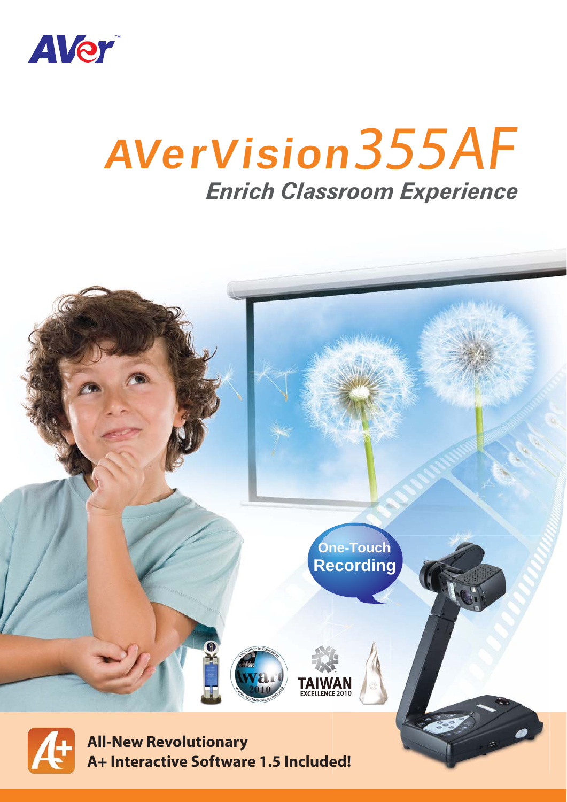

# AVerVision355AF **Enrich Classroom Experience**

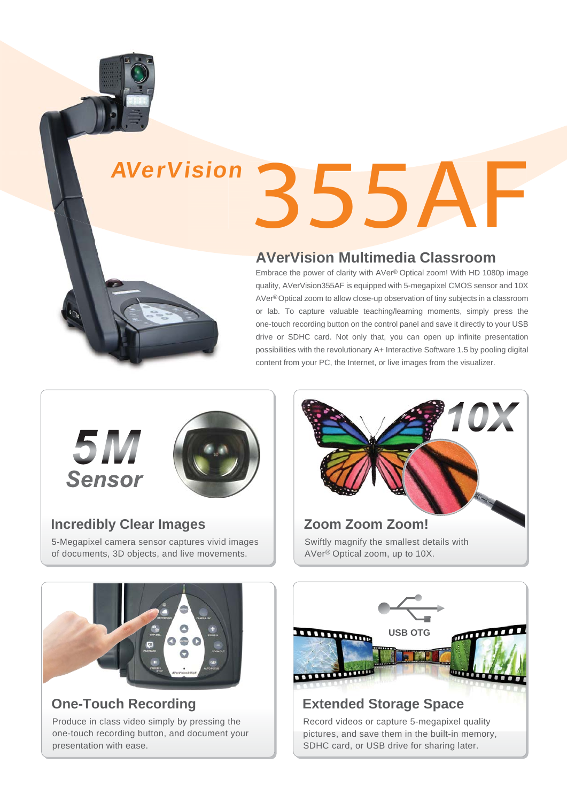# 355AF **AVerVisior**

# **AVerVision Multimedia Classroom**

Embrace the power of clarity with AVer® Optical zoom! With HD 1080p image quality, AVerVision355AF is equipped with 5-megapixel CMOS sensor and 10X AVer®Optical zoom to allow close-up observation of tiny subjects in a classroom or lab. To capture valuable teaching/learning moments, simply press the one-touch recording button on the control panel and save it directly to your USB drive or SDHC card. Not only that, you can open up infinite presentation possibilities with the revolutionary A+ Interactive Software 1.5 by pooling digital content from your PC, the Internet, or live images from the visualizer.



#### **Incredibly Clear Images**

5-Megapixel camera sensor captures vivid images of documents, 3D objects, and live movements.





# **One-Touch Recording**

Produce in class video simply by pressing the one-touch recording button, and document your presentation with ease.



pictures, and save them in the built-in memory, SDHC card, or USB drive for sharing later.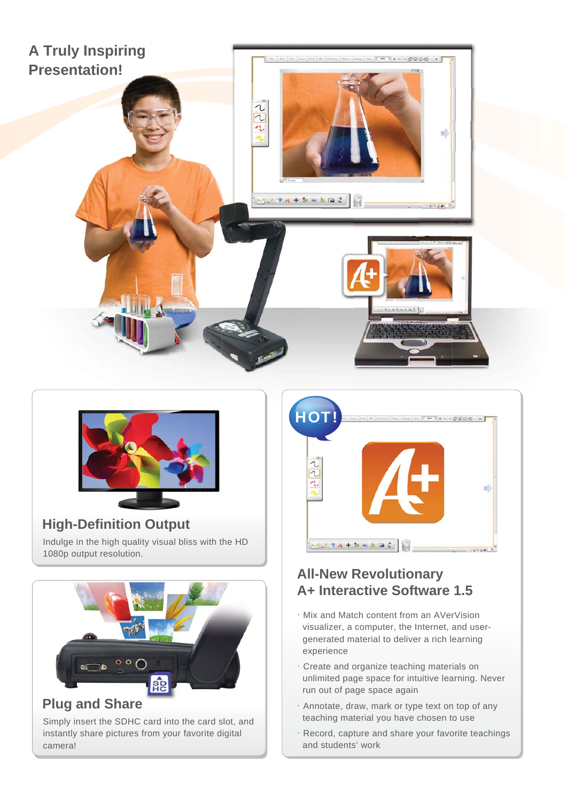



#### Indulge in the high quality visual bliss with the HD 1080p output resolution. **High-Definition Output**



#### Simply insert the SDHC card into the card slot, and instantly share pictures from your favorite digital camera!



# **All-New Revolutionary A+ Interactive Software 1.5**

- .Mix and Match content from an AVerVision visualizer, a computer, the Internet, and usergenerated material to deliver a rich learning experience
- .Create and organize teaching materials on unlimited page space for intuitive learning. Never run out of page space again
- $\cdot$  Annotate, draw, mark or type text on top of any teaching material you have chosen to use
- .Record, capture and share your favorite teachings and students' work